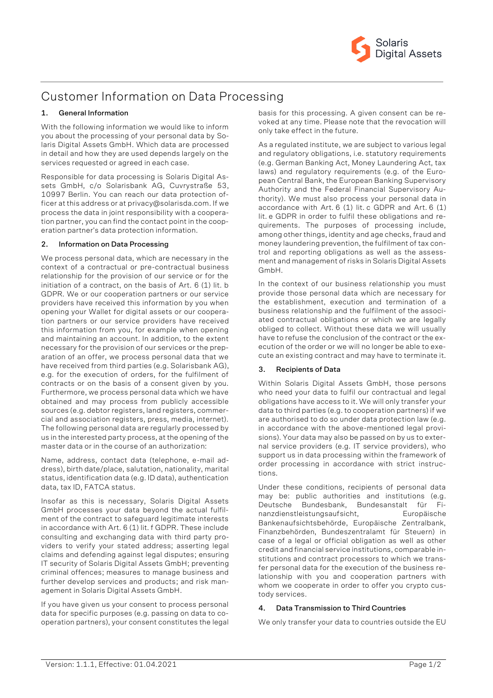

# Customer Information on Data Processing

## **1. General Information**

With the following information we would like to inform you about the processing of your personal data by Solaris Digital Assets GmbH. Which data are processed in detail and how they are used depends largely on the services requested or agreed in each case.

Responsible for data processing is Solaris Digital Assets GmbH, c/o Solarisbank AG, Cuvrystraße 53, 10997 Berlin. You can reach our data protection officer at this address or at privacy@solarisda.com. If we process the data in joint responsibility with a cooperation partner, you can find the contact point in the cooperation partner's data protection information.

### **2. Information on Data Processing**

We process personal data, which are necessary in the context of a contractual or pre-contractual business relationship for the provision of our service or for the initiation of a contract, on the basis of Art. 6 (1) lit. b GDPR. We or our cooperation partners or our service providers have received this information by you when opening your Wallet for digital assets or our cooperation partners or our service providers have received this information from you, for example when opening and maintaining an account. In addition, to the extent necessary for the provision of our services or the preparation of an offer, we process personal data that we have received from third parties (e.g. Solarisbank AG), e.g. for the execution of orders, for the fulfilment of contracts or on the basis of a consent given by you. Furthermore, we process personal data which we have obtained and may process from publicly accessible sources (e.g. debtor registers, land registers, commercial and association registers, press, media, internet). The following personal data are regularly processed by us in the interested party process, at the opening of the master data or in the course of an authorization:

Name, address, contact data (telephone, e-mail address), birth date/place, salutation, nationality, marital status, identification data (e.g. ID data), authentication data, tax ID, FATCA status.

Insofar as this is necessary, Solaris Digital Assets GmbH processes your data beyond the actual fulfilment of the contract to safeguard legitimate interests in accordance with Art. 6 (1) lit. f GDPR. These include consulting and exchanging data with third party providers to verify your stated address; asserting legal claims and defending against legal disputes; ensuring IT security of Solaris Digital Assets GmbH; preventing criminal offences; measures to manage business and further develop services and products; and risk management in Solaris Digital Assets GmbH.

If you have given us your consent to process personal data for specific purposes (e.g. passing on data to cooperation partners), your consent constitutes the legal basis for this processing. A given consent can be revoked at any time. Please note that the revocation will only take effect in the future.

As a regulated institute, we are subject to various legal and regulatory obligations, i.e. statutory requirements (e.g. German Banking Act, Money Laundering Act, tax laws) and regulatory requirements (e.g. of the European Central Bank, the European Banking Supervisory Authority and the Federal Financial Supervisory Authority). We must also process your personal data in accordance with Art. 6 (1) lit. c GDPR and Art. 6 (1) lit. e GDPR in order to fulfil these obligations and requirements. The purposes of processing include, among other things, identity and age checks, fraud and money laundering prevention, the fulfilment of tax control and reporting obligations as well as the assessment and management of risks in Solaris Digital Assets GmbH.

In the context of our business relationship you must provide those personal data which are necessary for the establishment, execution and termination of a business relationship and the fulfilment of the associated contractual obligations or which we are legally obliged to collect. Without these data we will usually have to refuse the conclusion of the contract or the execution of the order or we will no longer be able to execute an existing contract and may have to terminate it.

## **3. Recipients of Data**

Within Solaris Digital Assets GmbH, those persons who need your data to fulfil our contractual and legal obligations have access to it. We will only transfer your data to third parties (e.g. to cooperation partners) if we are authorised to do so under data protection law (e.g. in accordance with the above-mentioned legal provisions). Your data may also be passed on by us to external service providers (e.g. IT service providers), who support us in data processing within the framework of order processing in accordance with strict instructions.

Under these conditions, recipients of personal data may be: public authorities and institutions (e.g. Deutsche Bundesbank, Bundesanstalt für Finanzdienstleistungsaufsicht, Europäische Bankenaufsichtsbehörde, Europäische Zentralbank, Finanzbehörden, Bundeszentralamt für Steuern) in case of a legal or official obligation as well as other credit and financial service institutions, comparable institutions and contract processors to which we transfer personal data for the execution of the business relationship with you and cooperation partners with whom we cooperate in order to offer you crypto custody services.

## **4. Data Transmission to Third Countries**

We only transfer your data to countries outside the EU